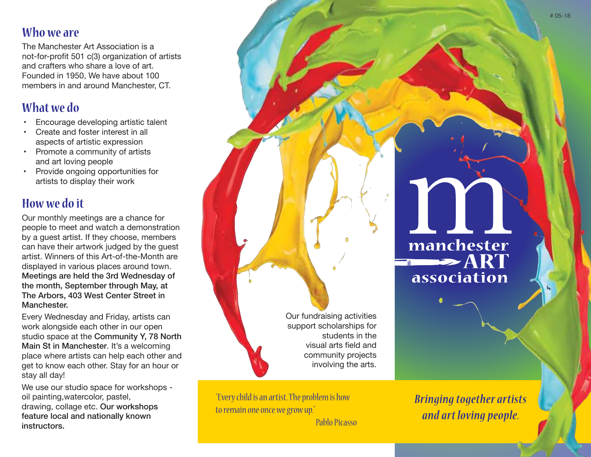#### **Who we are**

The Manchester Art Association is a not-for-profit 501 c(3) organization of artists and crafters who share a love of art. Founded in 1950, We have about 100 members in and around Manchester, CT.

# **What we do**

- Encourage developing artistic talent
- Create and foster interest in all aspects of artistic expression
- Promote a community of artists and art loving people
- Provide ongoing opportunities for artists to display their work

## **How we do it**

Our monthly meetings are a chance for people to meet and watch a demonstration by a guest artist. If they choose, members can have their artwork judged by the quest artist. Winners of this Art-of-the-Month are displayed in various places around town. Meetings are held the 3rd Wednesday of the month, September through May, at The Arbors, 403 West Center Street in Manchester.

Every Wednesday and Friday, artists can work alongside each other in our open studio space at the Community Y, 78 North Main St in Manchester. It's a welcoming place where artists can help each other and get to know each other. Stay for an hour or stay all day!

We use our studio space for workshops oil painting,watercolor, pastel, drawing, collage etc. Our workshops feature local and nationally known instructors.

Our fundraising activities support scholarships for students in the visual arts field and community projects involving the arts.

"Every child is an artist. The problem is how to remain one once we grow up."

Pablo Picasso

*Bringing together artists and art loving people.*

# manchester **DESCRIPTION** association